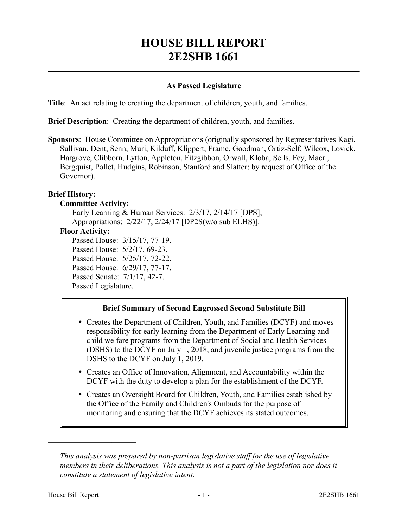# **HOUSE BILL REPORT 2E2SHB 1661**

## **As Passed Legislature**

**Title**: An act relating to creating the department of children, youth, and families.

**Brief Description**: Creating the department of children, youth, and families.

**Sponsors**: House Committee on Appropriations (originally sponsored by Representatives Kagi, Sullivan, Dent, Senn, Muri, Kilduff, Klippert, Frame, Goodman, Ortiz-Self, Wilcox, Lovick, Hargrove, Clibborn, Lytton, Appleton, Fitzgibbon, Orwall, Kloba, Sells, Fey, Macri, Bergquist, Pollet, Hudgins, Robinson, Stanford and Slatter; by request of Office of the Governor).

## **Brief History:**

#### **Committee Activity:**

Early Learning & Human Services: 2/3/17, 2/14/17 [DPS]; Appropriations: 2/22/17, 2/24/17 [DP2S(w/o sub ELHS)]. **Floor Activity:** Passed House: 3/15/17, 77-19. Passed House: 5/2/17, 69-23. Passed House: 5/25/17, 72-22. Passed House: 6/29/17, 77-17. Passed Senate: 7/1/17, 42-7. Passed Legislature.

#### **Brief Summary of Second Engrossed Second Substitute Bill**

- Creates the Department of Children, Youth, and Families (DCYF) and moves responsibility for early learning from the Department of Early Learning and child welfare programs from the Department of Social and Health Services (DSHS) to the DCYF on July 1, 2018, and juvenile justice programs from the DSHS to the DCYF on July 1, 2019.
- Creates an Office of Innovation, Alignment, and Accountability within the DCYF with the duty to develop a plan for the establishment of the DCYF.
- Creates an Oversight Board for Children, Youth, and Families established by the Office of the Family and Children's Ombuds for the purpose of monitoring and ensuring that the DCYF achieves its stated outcomes.

––––––––––––––––––––––

*This analysis was prepared by non-partisan legislative staff for the use of legislative members in their deliberations. This analysis is not a part of the legislation nor does it constitute a statement of legislative intent.*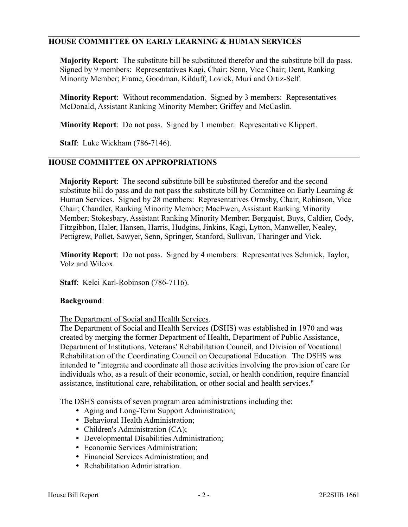## **HOUSE COMMITTEE ON EARLY LEARNING & HUMAN SERVICES**

**Majority Report**: The substitute bill be substituted therefor and the substitute bill do pass. Signed by 9 members: Representatives Kagi, Chair; Senn, Vice Chair; Dent, Ranking Minority Member; Frame, Goodman, Kilduff, Lovick, Muri and Ortiz-Self.

**Minority Report**: Without recommendation. Signed by 3 members: Representatives McDonald, Assistant Ranking Minority Member; Griffey and McCaslin.

**Minority Report**: Do not pass. Signed by 1 member: Representative Klippert.

**Staff**: Luke Wickham (786-7146).

## **HOUSE COMMITTEE ON APPROPRIATIONS**

**Majority Report**: The second substitute bill be substituted therefor and the second substitute bill do pass and do not pass the substitute bill by Committee on Early Learning  $\&$ Human Services. Signed by 28 members: Representatives Ormsby, Chair; Robinson, Vice Chair; Chandler, Ranking Minority Member; MacEwen, Assistant Ranking Minority Member; Stokesbary, Assistant Ranking Minority Member; Bergquist, Buys, Caldier, Cody, Fitzgibbon, Haler, Hansen, Harris, Hudgins, Jinkins, Kagi, Lytton, Manweller, Nealey, Pettigrew, Pollet, Sawyer, Senn, Springer, Stanford, Sullivan, Tharinger and Vick.

**Minority Report**: Do not pass. Signed by 4 members: Representatives Schmick, Taylor, Volz and Wilcox.

**Staff**: Kelci Karl-Robinson (786-7116).

#### **Background**:

The Department of Social and Health Services.

The Department of Social and Health Services (DSHS) was established in 1970 and was created by merging the former Department of Health, Department of Public Assistance, Department of Institutions, Veterans' Rehabilitation Council, and Division of Vocational Rehabilitation of the Coordinating Council on Occupational Education. The DSHS was intended to "integrate and coordinate all those activities involving the provision of care for individuals who, as a result of their economic, social, or health condition, require financial assistance, institutional care, rehabilitation, or other social and health services."

The DSHS consists of seven program area administrations including the:

- Aging and Long-Term Support Administration;
- Behavioral Health Administration:
- Children's Administration (CA);
- Developmental Disabilities Administration;
- Economic Services Administration;
- Financial Services Administration; and
- Rehabilitation Administration.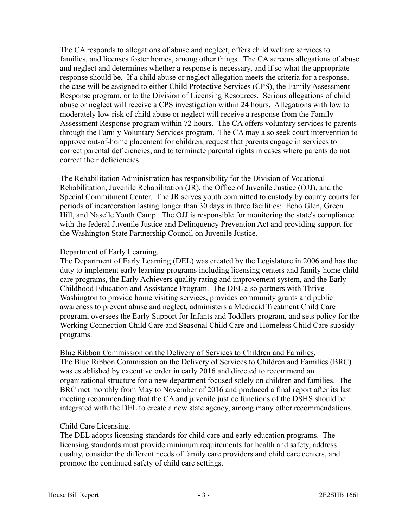The CA responds to allegations of abuse and neglect, offers child welfare services to families, and licenses foster homes, among other things. The CA screens allegations of abuse and neglect and determines whether a response is necessary, and if so what the appropriate response should be. If a child abuse or neglect allegation meets the criteria for a response, the case will be assigned to either Child Protective Services (CPS), the Family Assessment Response program, or to the Division of Licensing Resources. Serious allegations of child abuse or neglect will receive a CPS investigation within 24 hours. Allegations with low to moderately low risk of child abuse or neglect will receive a response from the Family Assessment Response program within 72 hours. The CA offers voluntary services to parents through the Family Voluntary Services program. The CA may also seek court intervention to approve out-of-home placement for children, request that parents engage in services to correct parental deficiencies, and to terminate parental rights in cases where parents do not correct their deficiencies.

The Rehabilitation Administration has responsibility for the Division of Vocational Rehabilitation, Juvenile Rehabilitation (JR), the Office of Juvenile Justice (OJJ), and the Special Commitment Center. The JR serves youth committed to custody by county courts for periods of incarceration lasting longer than 30 days in three facilities: Echo Glen, Green Hill, and Naselle Youth Camp. The OJJ is responsible for monitoring the state's compliance with the federal Juvenile Justice and Delinquency Prevention Act and providing support for the Washington State Partnership Council on Juvenile Justice.

#### Department of Early Learning.

The Department of Early Learning (DEL) was created by the Legislature in 2006 and has the duty to implement early learning programs including licensing centers and family home child care programs, the Early Achievers quality rating and improvement system, and the Early Childhood Education and Assistance Program. The DEL also partners with Thrive Washington to provide home visiting services, provides community grants and public awareness to prevent abuse and neglect, administers a Medicaid Treatment Child Care program, oversees the Early Support for Infants and Toddlers program, and sets policy for the Working Connection Child Care and Seasonal Child Care and Homeless Child Care subsidy programs.

Blue Ribbon Commission on the Delivery of Services to Children and Families. The Blue Ribbon Commission on the Delivery of Services to Children and Families (BRC) was established by executive order in early 2016 and directed to recommend an organizational structure for a new department focused solely on children and families. The BRC met monthly from May to November of 2016 and produced a final report after its last meeting recommending that the CA and juvenile justice functions of the DSHS should be integrated with the DEL to create a new state agency, among many other recommendations.

## Child Care Licensing.

The DEL adopts licensing standards for child care and early education programs. The licensing standards must provide minimum requirements for health and safety, address quality, consider the different needs of family care providers and child care centers, and promote the continued safety of child care settings.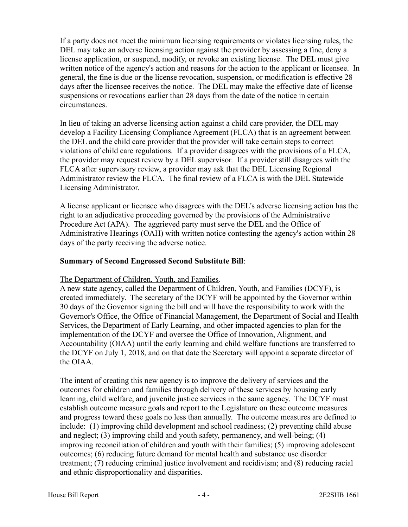If a party does not meet the minimum licensing requirements or violates licensing rules, the DEL may take an adverse licensing action against the provider by assessing a fine, deny a license application, or suspend, modify, or revoke an existing license. The DEL must give written notice of the agency's action and reasons for the action to the applicant or licensee. In general, the fine is due or the license revocation, suspension, or modification is effective 28 days after the licensee receives the notice. The DEL may make the effective date of license suspensions or revocations earlier than 28 days from the date of the notice in certain circumstances.

In lieu of taking an adverse licensing action against a child care provider, the DEL may develop a Facility Licensing Compliance Agreement (FLCA) that is an agreement between the DEL and the child care provider that the provider will take certain steps to correct violations of child care regulations. If a provider disagrees with the provisions of a FLCA, the provider may request review by a DEL supervisor. If a provider still disagrees with the FLCA after supervisory review, a provider may ask that the DEL Licensing Regional Administrator review the FLCA. The final review of a FLCA is with the DEL Statewide Licensing Administrator.

A license applicant or licensee who disagrees with the DEL's adverse licensing action has the right to an adjudicative proceeding governed by the provisions of the Administrative Procedure Act (APA). The aggrieved party must serve the DEL and the Office of Administrative Hearings (OAH) with written notice contesting the agency's action within 28 days of the party receiving the adverse notice.

## **Summary of Second Engrossed Second Substitute Bill**:

#### The Department of Children, Youth, and Families.

A new state agency, called the Department of Children, Youth, and Families (DCYF), is created immediately. The secretary of the DCYF will be appointed by the Governor within 30 days of the Governor signing the bill and will have the responsibility to work with the Governor's Office, the Office of Financial Management, the Department of Social and Health Services, the Department of Early Learning, and other impacted agencies to plan for the implementation of the DCYF and oversee the Office of Innovation, Alignment, and Accountability (OIAA) until the early learning and child welfare functions are transferred to the DCYF on July 1, 2018, and on that date the Secretary will appoint a separate director of the OIAA.

The intent of creating this new agency is to improve the delivery of services and the outcomes for children and families through delivery of these services by housing early learning, child welfare, and juvenile justice services in the same agency. The DCYF must establish outcome measure goals and report to the Legislature on these outcome measures and progress toward these goals no less than annually. The outcome measures are defined to include: (1) improving child development and school readiness; (2) preventing child abuse and neglect; (3) improving child and youth safety, permanency, and well-being; (4) improving reconciliation of children and youth with their families; (5) improving adolescent outcomes; (6) reducing future demand for mental health and substance use disorder treatment; (7) reducing criminal justice involvement and recidivism; and (8) reducing racial and ethnic disproportionality and disparities.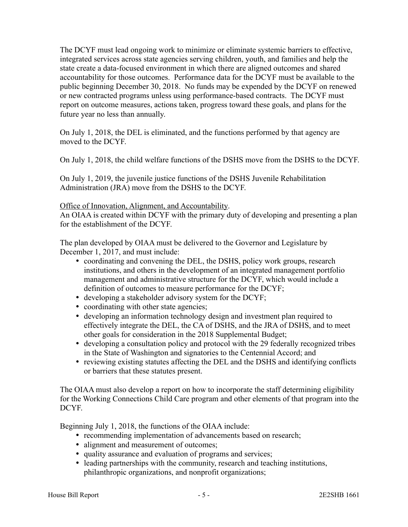The DCYF must lead ongoing work to minimize or eliminate systemic barriers to effective, integrated services across state agencies serving children, youth, and families and help the state create a data-focused environment in which there are aligned outcomes and shared accountability for those outcomes. Performance data for the DCYF must be available to the public beginning December 30, 2018. No funds may be expended by the DCYF on renewed or new contracted programs unless using performance-based contracts. The DCYF must report on outcome measures, actions taken, progress toward these goals, and plans for the future year no less than annually.

On July 1, 2018, the DEL is eliminated, and the functions performed by that agency are moved to the DCYF.

On July 1, 2018, the child welfare functions of the DSHS move from the DSHS to the DCYF.

On July 1, 2019, the juvenile justice functions of the DSHS Juvenile Rehabilitation Administration (JRA) move from the DSHS to the DCYF.

#### Office of Innovation, Alignment, and Accountability.

An OIAA is created within DCYF with the primary duty of developing and presenting a plan for the establishment of the DCYF.

The plan developed by OIAA must be delivered to the Governor and Legislature by December 1, 2017, and must include:

- coordinating and convening the DEL, the DSHS, policy work groups, research institutions, and others in the development of an integrated management portfolio management and administrative structure for the DCYF, which would include a definition of outcomes to measure performance for the DCYF;
- developing a stakeholder advisory system for the DCYF;
- coordinating with other state agencies;
- developing an information technology design and investment plan required to effectively integrate the DEL, the CA of DSHS, and the JRA of DSHS, and to meet other goals for consideration in the 2018 Supplemental Budget;
- developing a consultation policy and protocol with the 29 federally recognized tribes in the State of Washington and signatories to the Centennial Accord; and
- reviewing existing statutes affecting the DEL and the DSHS and identifying conflicts or barriers that these statutes present.

The OIAA must also develop a report on how to incorporate the staff determining eligibility for the Working Connections Child Care program and other elements of that program into the DCYF.

Beginning July 1, 2018, the functions of the OIAA include:

- recommending implementation of advancements based on research;
- alignment and measurement of outcomes;
- quality assurance and evaluation of programs and services;
- leading partnerships with the community, research and teaching institutions, philanthropic organizations, and nonprofit organizations;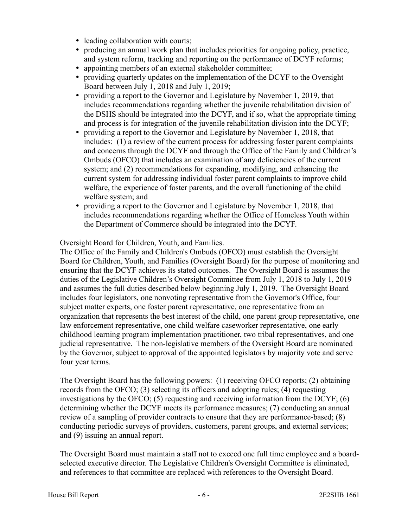- leading collaboration with courts;
- producing an annual work plan that includes priorities for ongoing policy, practice, and system reform, tracking and reporting on the performance of DCYF reforms;
- appointing members of an external stakeholder committee;
- providing quarterly updates on the implementation of the DCYF to the Oversight Board between July 1, 2018 and July 1, 2019;
- providing a report to the Governor and Legislature by November 1, 2019, that includes recommendations regarding whether the juvenile rehabilitation division of the DSHS should be integrated into the DCYF, and if so, what the appropriate timing and process is for integration of the juvenile rehabilitation division into the DCYF;
- providing a report to the Governor and Legislature by November 1, 2018, that includes: (1) a review of the current process for addressing foster parent complaints and concerns through the DCYF and through the Office of the Family and Children's Ombuds (OFCO) that includes an examination of any deficiencies of the current system; and (2) recommendations for expanding, modifying, and enhancing the current system for addressing individual foster parent complaints to improve child welfare, the experience of foster parents, and the overall functioning of the child welfare system; and
- providing a report to the Governor and Legislature by November 1, 2018, that includes recommendations regarding whether the Office of Homeless Youth within the Department of Commerce should be integrated into the DCYF.

#### Oversight Board for Children, Youth, and Families.

The Office of the Family and Children's Ombuds (OFCO) must establish the Oversight Board for Children, Youth, and Families (Oversight Board) for the purpose of monitoring and ensuring that the DCYF achieves its stated outcomes. The Oversight Board is assumes the duties of the Legislative Children's Oversight Committee from July 1, 2018 to July 1, 2019 and assumes the full duties described below beginning July 1, 2019. The Oversight Board includes four legislators, one nonvoting representative from the Governor's Office, four subject matter experts, one foster parent representative, one representative from an organization that represents the best interest of the child, one parent group representative, one law enforcement representative, one child welfare caseworker representative, one early childhood learning program implementation practitioner, two tribal representatives, and one judicial representative. The non-legislative members of the Oversight Board are nominated by the Governor, subject to approval of the appointed legislators by majority vote and serve four year terms.

The Oversight Board has the following powers: (1) receiving OFCO reports; (2) obtaining records from the OFCO; (3) selecting its officers and adopting rules; (4) requesting investigations by the OFCO; (5) requesting and receiving information from the DCYF; (6) determining whether the DCYF meets its performance measures; (7) conducting an annual review of a sampling of provider contracts to ensure that they are performance-based; (8) conducting periodic surveys of providers, customers, parent groups, and external services; and (9) issuing an annual report.

The Oversight Board must maintain a staff not to exceed one full time employee and a boardselected executive director. The Legislative Children's Oversight Committee is eliminated, and references to that committee are replaced with references to the Oversight Board.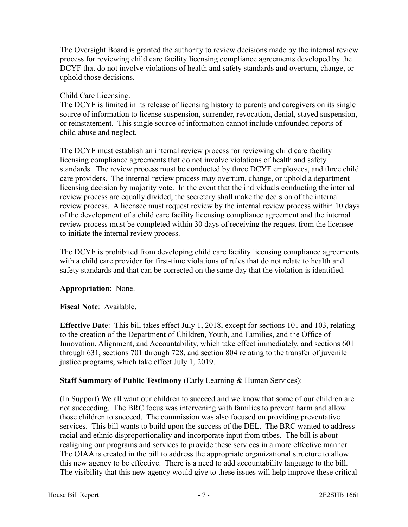The Oversight Board is granted the authority to review decisions made by the internal review process for reviewing child care facility licensing compliance agreements developed by the DCYF that do not involve violations of health and safety standards and overturn, change, or uphold those decisions.

## Child Care Licensing.

The DCYF is limited in its release of licensing history to parents and caregivers on its single source of information to license suspension, surrender, revocation, denial, stayed suspension, or reinstatement. This single source of information cannot include unfounded reports of child abuse and neglect.

The DCYF must establish an internal review process for reviewing child care facility licensing compliance agreements that do not involve violations of health and safety standards. The review process must be conducted by three DCYF employees, and three child care providers. The internal review process may overturn, change, or uphold a department licensing decision by majority vote. In the event that the individuals conducting the internal review process are equally divided, the secretary shall make the decision of the internal review process. A licensee must request review by the internal review process within 10 days of the development of a child care facility licensing compliance agreement and the internal review process must be completed within 30 days of receiving the request from the licensee to initiate the internal review process.

The DCYF is prohibited from developing child care facility licensing compliance agreements with a child care provider for first-time violations of rules that do not relate to health and safety standards and that can be corrected on the same day that the violation is identified.

# **Appropriation**: None.

## **Fiscal Note**: Available.

**Effective Date**: This bill takes effect July 1, 2018, except for sections 101 and 103, relating to the creation of the Department of Children, Youth, and Families, and the Office of Innovation, Alignment, and Accountability, which take effect immediately, and sections 601 through 631, sections 701 through 728, and section 804 relating to the transfer of juvenile justice programs, which take effect July 1, 2019.

# **Staff Summary of Public Testimony** (Early Learning & Human Services):

(In Support) We all want our children to succeed and we know that some of our children are not succeeding. The BRC focus was intervening with families to prevent harm and allow those children to succeed. The commission was also focused on providing preventative services. This bill wants to build upon the success of the DEL. The BRC wanted to address racial and ethnic disproportionality and incorporate input from tribes. The bill is about realigning our programs and services to provide these services in a more effective manner. The OIAA is created in the bill to address the appropriate organizational structure to allow this new agency to be effective. There is a need to add accountability language to the bill. The visibility that this new agency would give to these issues will help improve these critical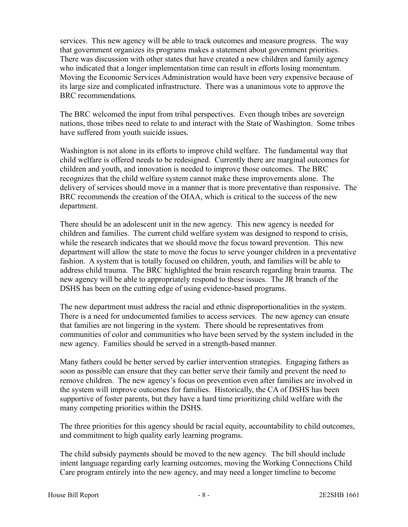services. This new agency will be able to track outcomes and measure progress. The way that government organizes its programs makes a statement about government priorities. There was discussion with other states that have created a new children and family agency who indicated that a longer implementation time can result in efforts losing momentum. Moving the Economic Services Administration would have been very expensive because of its large size and complicated infrastructure. There was a unanimous vote to approve the BRC recommendations.

The BRC welcomed the input from tribal perspectives. Even though tribes are sovereign nations, those tribes need to relate to and interact with the State of Washington. Some tribes have suffered from youth suicide issues.

Washington is not alone in its efforts to improve child welfare. The fundamental way that child welfare is offered needs to be redesigned. Currently there are marginal outcomes for children and youth, and innovation is needed to improve those outcomes. The BRC recognizes that the child welfare system cannot make these improvements alone. The delivery of services should move in a manner that is more preventative than responsive. The BRC recommends the creation of the OIAA, which is critical to the success of the new department.

There should be an adolescent unit in the new agency. This new agency is needed for children and families. The current child welfare system was designed to respond to crisis, while the research indicates that we should move the focus toward prevention. This new department will allow the state to move the focus to serve younger children in a preventative fashion. A system that is totally focused on children, youth, and families will be able to address child trauma. The BRC highlighted the brain research regarding brain trauma. The new agency will be able to appropriately respond to these issues. The JR branch of the DSHS has been on the cutting edge of using evidence-based programs.

The new department must address the racial and ethnic disproportionalities in the system. There is a need for undocumented families to access services. The new agency can ensure that families are not lingering in the system. There should be representatives from communities of color and communities who have been served by the system included in the new agency. Families should be served in a strength-based manner.

Many fathers could be better served by earlier intervention strategies. Engaging fathers as soon as possible can ensure that they can better serve their family and prevent the need to remove children. The new agency's focus on prevention even after families are involved in the system will improve outcomes for families. Historically, the CA of DSHS has been supportive of foster parents, but they have a hard time prioritizing child welfare with the many competing priorities within the DSHS.

The three priorities for this agency should be racial equity, accountability to child outcomes, and commitment to high quality early learning programs.

The child subsidy payments should be moved to the new agency. The bill should include intent language regarding early learning outcomes, moving the Working Connections Child Care program entirely into the new agency, and may need a longer timeline to become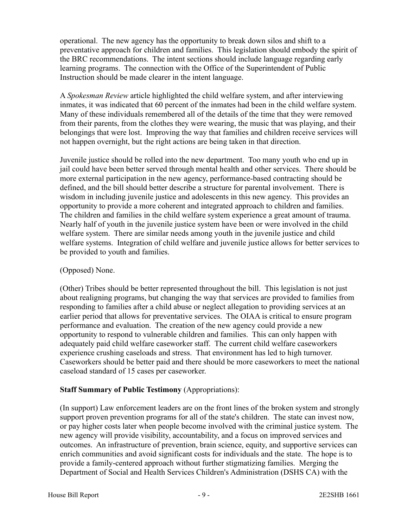operational. The new agency has the opportunity to break down silos and shift to a preventative approach for children and families. This legislation should embody the spirit of the BRC recommendations. The intent sections should include language regarding early learning programs. The connection with the Office of the Superintendent of Public Instruction should be made clearer in the intent language.

A *Spokesman Review* article highlighted the child welfare system, and after interviewing inmates, it was indicated that 60 percent of the inmates had been in the child welfare system. Many of these individuals remembered all of the details of the time that they were removed from their parents, from the clothes they were wearing, the music that was playing, and their belongings that were lost. Improving the way that families and children receive services will not happen overnight, but the right actions are being taken in that direction.

Juvenile justice should be rolled into the new department. Too many youth who end up in jail could have been better served through mental health and other services. There should be more external participation in the new agency, performance-based contracting should be defined, and the bill should better describe a structure for parental involvement. There is wisdom in including juvenile justice and adolescents in this new agency. This provides an opportunity to provide a more coherent and integrated approach to children and families. The children and families in the child welfare system experience a great amount of trauma. Nearly half of youth in the juvenile justice system have been or were involved in the child welfare system. There are similar needs among youth in the juvenile justice and child welfare systems. Integration of child welfare and juvenile justice allows for better services to be provided to youth and families.

## (Opposed) None.

(Other) Tribes should be better represented throughout the bill. This legislation is not just about realigning programs, but changing the way that services are provided to families from responding to families after a child abuse or neglect allegation to providing services at an earlier period that allows for preventative services. The OIAA is critical to ensure program performance and evaluation. The creation of the new agency could provide a new opportunity to respond to vulnerable children and families. This can only happen with adequately paid child welfare caseworker staff. The current child welfare caseworkers experience crushing caseloads and stress. That environment has led to high turnover. Caseworkers should be better paid and there should be more caseworkers to meet the national caseload standard of 15 cases per caseworker.

## **Staff Summary of Public Testimony** (Appropriations):

(In support) Law enforcement leaders are on the front lines of the broken system and strongly support proven prevention programs for all of the state's children. The state can invest now, or pay higher costs later when people become involved with the criminal justice system. The new agency will provide visibility, accountability, and a focus on improved services and outcomes. An infrastructure of prevention, brain science, equity, and supportive services can enrich communities and avoid significant costs for individuals and the state. The hope is to provide a family-centered approach without further stigmatizing families. Merging the Department of Social and Health Services Children's Administration (DSHS CA) with the